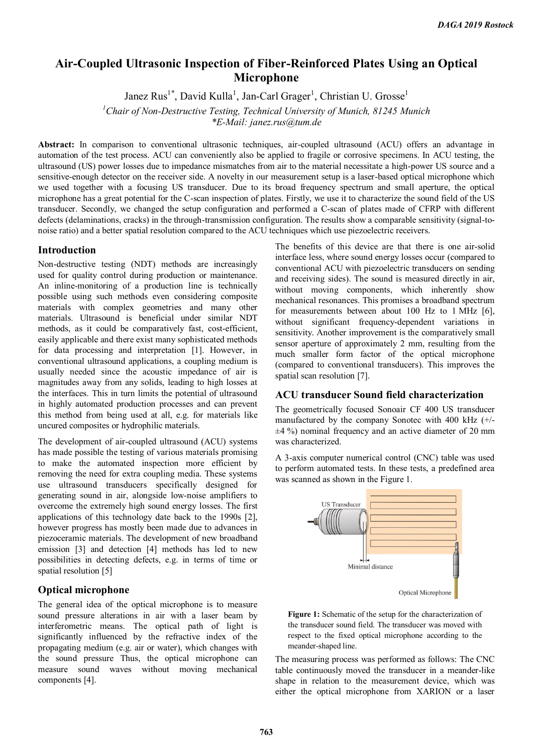# **Air-Coupled Ultrasonic Inspection of Fiber-Reinforced Plates Using an Optical Microphone**

Janez Rus<sup>1\*</sup>, David Kulla<sup>1</sup>, Jan-Carl Grager<sup>1</sup>, Christian U. Grosse<sup>1</sup>

*<sup>1</sup>Chair of Non-Destructive Testing, Technical University of Munich, 81245 Munich*

*\*E-Mail: janez.rus@tum.de*

**Abstract:** In comparison to conventional ultrasonic techniques, air-coupled ultrasound (ACU) offers an advantage in automation of the test process. ACU can conveniently also be applied to fragile or corrosive specimens. In ACU testing, the ultrasound (US) power losses due to impedance mismatches from air to the material necessitate a high-power US source and a sensitive-enough detector on the receiver side. A novelty in our measurement setup is a laser-based optical microphone which we used together with a focusing US transducer. Due to its broad frequency spectrum and small aperture, the optical microphone has a great potential for the C-scan inspection of plates. Firstly, we use it to characterize the sound field of the US transducer. Secondly, we changed the setup configuration and performed a C-scan of plates made of CFRP with different defects (delaminations, cracks) in the through-transmission configuration. The results show a comparable sensitivity (signal-tonoise ratio) and a better spatial resolution compared to the ACU techniques which use piezoelectric receivers.

## **Introduction**

Non-destructive testing (NDT) methods are increasingly used for quality control during production or maintenance. An inline-monitoring of a production line is technically possible using such methods even considering composite materials with complex geometries and many other materials. Ultrasound is beneficial under similar NDT methods, as it could be comparatively fast, cost-efficient, easily applicable and there exist many sophisticated methods for data processing and interpretation [1]. However, in conventional ultrasound applications, a coupling medium is usually needed since the acoustic impedance of air is magnitudes away from any solids, leading to high losses at the interfaces. This in turn limits the potential of ultrasound in highly automated production processes and can prevent this method from being used at all, e.g. for materials like uncured composites or hydrophilic materials.

The development of air-coupled ultrasound (ACU) systems has made possible the testing of various materials promising to make the automated inspection more efficient by removing the need for extra coupling media. These systems use ultrasound transducers specifically designed for generating sound in air, alongside low-noise amplifiers to overcome the extremely high sound energy losses. The first applications of this technology date back to the 1990s [2], however progress has mostly been made due to advances in piezoceramic materials. The development of new broadband emission [3] and detection [4] methods has led to new possibilities in detecting defects, e.g. in terms of time or spatial resolution [5]

## **Optical microphone**

The general idea of the optical microphone is to measure sound pressure alterations in air with a laser beam by interferometric means. The optical path of light is significantly influenced by the refractive index of the propagating medium (e.g. air or water), which changes with the sound pressure Thus, the optical microphone can measure sound waves without moving mechanical components [4].

The benefits of this device are that there is one air-solid interface less, where sound energy losses occur (compared to conventional ACU with piezoelectric transducers on sending and receiving sides). The sound is measured directly in air, without moving components, which inherently show mechanical resonances. This promises a broadband spectrum for measurements between about 100 Hz to 1 MHz [6], without significant frequency-dependent variations in sensitivity. Another improvement is the comparatively small sensor aperture of approximately 2 mm, resulting from the much smaller form factor of the optical microphone (compared to conventional transducers). This improves the spatial scan resolution [7].

#### **ACU transducer Sound field characterization**

The geometrically focused Sonoair CF 400 US transducer manufactured by the company Sonotec with 400 kHz (+/-  $\pm$ 4 %) nominal frequency and an active diameter of 20 mm was characterized.

A 3-axis computer numerical control (CNC) table was used to perform automated tests. In these tests, a predefined area was scanned as shown in the Figure 1.



**Figure 1:** Schematic of the setup for the characterization of the transducer sound field. The transducer was moved with respect to the fixed optical microphone according to the meander-shaped line.

The measuring process was performed as follows: The CNC table continuously moved the transducer in a meander-like shape in relation to the measurement device, which was either the optical microphone from XARION or a laser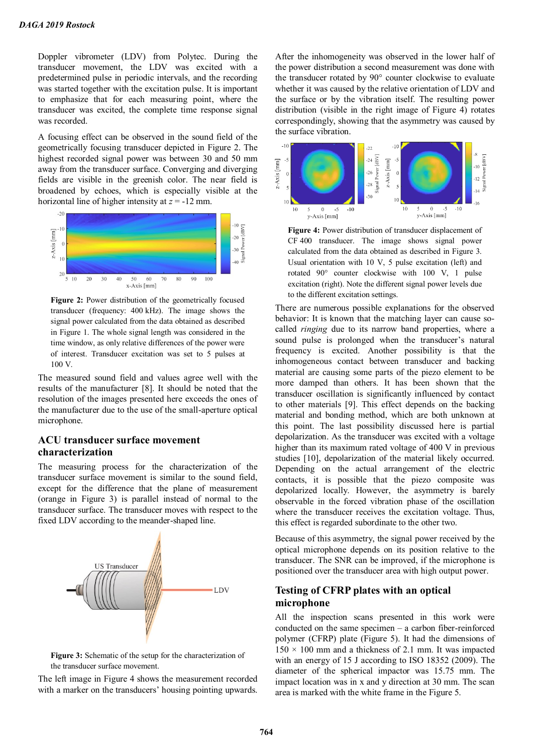Doppler vibrometer (LDV) from Polytec. During the transducer movement, the LDV was excited with a predetermined pulse in periodic intervals, and the recording was started together with the excitation pulse. It is important to emphasize that for each measuring point, where the transducer was excited, the complete time response signal was recorded.

A focusing effect can be observed in the sound field of the geometrically focusing transducer depicted in Figure 2. The highest recorded signal power was between 30 and 50 mm away from the transducer surface. Converging and diverging fields are visible in the greenish color. The near field is broadened by echoes, which is especially visible at the horizontal line of higher intensity at *z* = -12 mm.



**Figure 2:** Power distribution of the geometrically focused transducer (frequency: 400 kHz). The image shows the signal power calculated from the data obtained as described in Figure 1. The whole signal length was considered in the time window, as only relative differences of the power were of interest. Transducer excitation was set to 5 pulses at 100 V.

The measured sound field and values agree well with the results of the manufacturer [8]. It should be noted that the resolution of the images presented here exceeds the ones of the manufacturer due to the use of the small-aperture optical microphone.

## **ACU transducer surface movement characterization**

The measuring process for the characterization of the transducer surface movement is similar to the sound field, except for the difference that the plane of measurement (orange in Figure 3) is parallel instead of normal to the transducer surface. The transducer moves with respect to the fixed LDV according to the meander-shaped line.



**Figure 3:** Schematic of the setup for the characterization of the transducer surface movement.

The left image in Figure 4 shows the measurement recorded with a marker on the transducers' housing pointing upwards. After the inhomogeneity was observed in the lower half of the power distribution a second measurement was done with the transducer rotated by 90° counter clockwise to evaluate whether it was caused by the relative orientation of LDV and the surface or by the vibration itself. The resulting power distribution (visible in the right image of Figure 4) rotates correspondingly, showing that the asymmetry was caused by the surface vibration.



**Figure 4:** Power distribution of transducer displacement of CF 400 transducer. The image shows signal power calculated from the data obtained as described in Figure 3. Usual orientation with 10 V, 5 pulse excitation (left) and rotated 90° counter clockwise with 100 V, 1 pulse excitation (right). Note the different signal power levels due to the different excitation settings.

There are numerous possible explanations for the observed behavior: It is known that the matching layer can cause socalled *ringing* due to its narrow band properties, where a sound pulse is prolonged when the transducer's natural frequency is excited. Another possibility is that the inhomogeneous contact between transducer and backing material are causing some parts of the piezo element to be more damped than others. It has been shown that the transducer oscillation is significantly influenced by contact to other materials [9]. This effect depends on the backing material and bonding method, which are both unknown at this point. The last possibility discussed here is partial depolarization. As the transducer was excited with a voltage higher than its maximum rated voltage of 400 V in previous studies [10], depolarization of the material likely occurred. Depending on the actual arrangement of the electric contacts, it is possible that the piezo composite was depolarized locally. However, the asymmetry is barely observable in the forced vibration phase of the oscillation where the transducer receives the excitation voltage. Thus, this effect is regarded subordinate to the other two.

Because of this asymmetry, the signal power received by the optical microphone depends on its position relative to the transducer. The SNR can be improved, if the microphone is positioned over the transducer area with high output power.

## **Testing of CFRP plates with an optical microphone**

All the inspection scans presented in this work were conducted on the same specimen – a carbon fiber-reinforced polymer (CFRP) plate (Figure 5). It had the dimensions of  $150 \times 100$  mm and a thickness of 2.1 mm. It was impacted with an energy of 15 J according to ISO 18352 (2009). The diameter of the spherical impactor was 15.75 mm. The impact location was in x and y direction at 30 mm. The scan area is marked with the white frame in the Figure 5.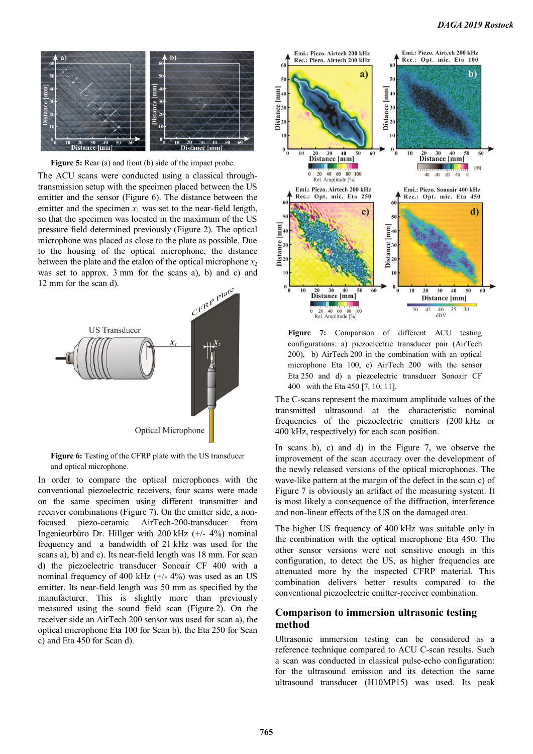

**Figure 5:** Rear (a) and front (b) side of the impact probe.

The ACU scans were conducted using a classical throughtransmission setup with the specimen placed between the US emitter and the sensor (Figure 6). The distance between the emitter and the specimen  $x_1$  was set to the near-field length, so that the specimen was located in the maximum of the US pressure field determined previously (Figure 2). The optical microphone was placed as close to the plate as possible. Due to the housing of the optical microphone, the distance between the plate and the etalon of the optical microphone  $x_2$ was set to approx. 3 mm for the scans a), b) and c) and 12 mm for the scan d).



Figure 6: Testing of the CFRP plate with the US transducer and optical microphone.

In order to compare the optical microphones with the conventional piezoelectric receivers, four scans were made on the same specimen using different transmitter and receiver combinations (Figure 7). On the emitter side, a nonfocused piezo-ceramic AirTech-200-transducer from Ingenieurbüro Dr. Hillger with 200 kHz (+/- 4%) nominal frequency and a bandwidth of 21 kHz was used for the scans a), b) and c). Its near-field length was 18 mm. For scan d) the piezoelectric transducer Sonoair CF 400 with a nominal frequency of 400 kHz (+/- 4%) was used as an US emitter. Its near-field length was 50 mm as specified by the manufacturer. This is slightly more than previously measured using the sound field scan (Figure 2). On the receiver side an AirTech 200 sensor was used for scan a), the optical microphone Eta 100 for Scan b), the Eta 250 for Scan c) and Eta 450 for Scan d).



**Figure 7:** Comparison of different ACU testing configurations: a) piezoelectric transducer pair (AirTech 200), b) AirTech 200 in the combination with an optical microphone Eta 100, c) AirTech 200 with the sensor Eta 250 and d) a piezoelectric transducer Sonoair CF 400 with the Eta 450 [7, 10, 11].

The C-scans represent the maximum amplitude values of the transmitted ultrasound at the characteristic nominal frequencies of the piezoelectric emitters (200 kHz or 400 kHz, respectively) for each scan position.

In scans b), c) and d) in the Figure 7, we observe the improvement of the scan accuracy over the development of the newly released versions of the optical microphones. The wave-like pattern at the margin of the defect in the scan c) of Figure 7 is obviously an artifact of the measuring system. It is most likely a consequence of the diffraction, interference and non-linear effects of the US on the damaged area.

The higher US frequency of 400 kHz was suitable only in the combination with the optical microphone Eta 450. The other sensor versions were not sensitive enough in this configuration, to detect the US, as higher frequencies are attenuated more by the inspected CFRP material. This combination delivers better results compared to the conventional piezoelectric emitter-receiver combination.

### **Comparison to immersion ultrasonic testing method**

Ultrasonic immersion testing can be considered as a reference technique compared to ACU C-scan results. Such a scan was conducted in classical pulse-echo configuration: for the ultrasound emission and its detection the same ultrasound transducer (H10MP15) was used. Its peak